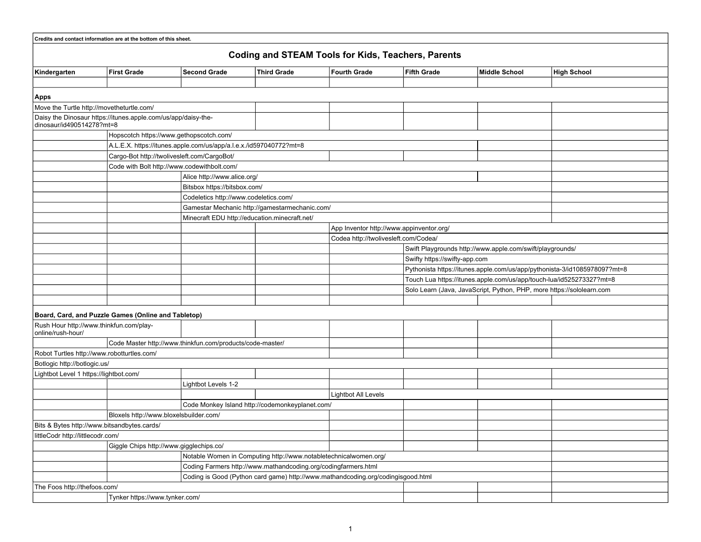|                                        | Credits and contact information are at the bottom of this sheet. |                                                                    |                                                                                  |                     |                                                                       |                                                                           |                    |  |  |  |
|----------------------------------------|------------------------------------------------------------------|--------------------------------------------------------------------|----------------------------------------------------------------------------------|---------------------|-----------------------------------------------------------------------|---------------------------------------------------------------------------|--------------------|--|--|--|
|                                        |                                                                  |                                                                    |                                                                                  |                     |                                                                       |                                                                           |                    |  |  |  |
|                                        |                                                                  |                                                                    | <b>Coding and STEAM Tools for Kids, Teachers, Parents</b>                        |                     |                                                                       |                                                                           |                    |  |  |  |
| Kindergarten                           | <b>First Grade</b>                                               | <b>Second Grade</b>                                                | <b>Third Grade</b>                                                               | <b>Fourth Grade</b> | <b>Fifth Grade</b>                                                    | <b>Middle School</b>                                                      | <b>High School</b> |  |  |  |
|                                        |                                                                  |                                                                    |                                                                                  |                     |                                                                       |                                                                           |                    |  |  |  |
| Apps                                   |                                                                  |                                                                    |                                                                                  |                     |                                                                       |                                                                           |                    |  |  |  |
|                                        | Move the Turtle http://movetheturtle.com/                        |                                                                    |                                                                                  |                     |                                                                       |                                                                           |                    |  |  |  |
| dinosaur/id490514278?mt=8              | Daisy the Dinosaur https://itunes.apple.com/us/app/daisy-the-    |                                                                    |                                                                                  |                     |                                                                       |                                                                           |                    |  |  |  |
|                                        |                                                                  | Hopscotch https://www.gethopscotch.com/                            |                                                                                  |                     |                                                                       |                                                                           |                    |  |  |  |
|                                        |                                                                  | A.L.E.X. https://itunes.apple.com/us/app/a.l.e.x./id597040772?mt=8 |                                                                                  |                     |                                                                       |                                                                           |                    |  |  |  |
|                                        |                                                                  | Cargo-Bot http://twolivesleft.com/CargoBot/                        |                                                                                  |                     |                                                                       |                                                                           |                    |  |  |  |
|                                        |                                                                  | Code with Bolt http://www.codewithbolt.com/                        |                                                                                  |                     |                                                                       |                                                                           |                    |  |  |  |
|                                        |                                                                  | Alice http://www.alice.org/                                        |                                                                                  |                     |                                                                       |                                                                           |                    |  |  |  |
|                                        |                                                                  | Bitsbox https://bitsbox.com/                                       |                                                                                  |                     |                                                                       |                                                                           |                    |  |  |  |
|                                        |                                                                  | Codeletics http://www.codeletics.com/                              |                                                                                  |                     |                                                                       |                                                                           |                    |  |  |  |
|                                        |                                                                  |                                                                    | Gamestar Mechanic http://gamestarmechanic.com/                                   |                     |                                                                       |                                                                           |                    |  |  |  |
|                                        |                                                                  |                                                                    | Minecraft EDU http://education.minecraft.net/                                    |                     |                                                                       |                                                                           |                    |  |  |  |
|                                        |                                                                  |                                                                    |                                                                                  |                     | App Inventor http://www.appinventor.org/                              |                                                                           |                    |  |  |  |
|                                        |                                                                  |                                                                    |                                                                                  |                     | Codea http://twolivesleft.com/Codea/                                  |                                                                           |                    |  |  |  |
|                                        |                                                                  |                                                                    |                                                                                  |                     |                                                                       | Swift Playgrounds http://www.apple.com/swift/playgrounds/                 |                    |  |  |  |
|                                        |                                                                  |                                                                    |                                                                                  |                     |                                                                       | Swifty https://swifty-app.com                                             |                    |  |  |  |
|                                        |                                                                  |                                                                    |                                                                                  |                     |                                                                       | Pythonista https://itunes.apple.com/us/app/pythonista-3/id1085978097?mt=8 |                    |  |  |  |
|                                        |                                                                  |                                                                    |                                                                                  |                     |                                                                       | Touch Lua https://itunes.apple.com/us/app/touch-lua/id525273327?mt=8      |                    |  |  |  |
|                                        |                                                                  |                                                                    |                                                                                  |                     | Solo Learn (Java, JavaScript, Python, PHP, more https://sololearn.com |                                                                           |                    |  |  |  |
|                                        |                                                                  |                                                                    |                                                                                  |                     |                                                                       |                                                                           |                    |  |  |  |
|                                        | Board, Card, and Puzzle Games (Online and Tabletop)              |                                                                    |                                                                                  |                     |                                                                       |                                                                           |                    |  |  |  |
| online/rush-hour/                      | Rush Hour http://www.thinkfun.com/play-                          |                                                                    |                                                                                  |                     |                                                                       |                                                                           |                    |  |  |  |
|                                        |                                                                  | Code Master http://www.thinkfun.com/products/code-master/          |                                                                                  |                     |                                                                       |                                                                           |                    |  |  |  |
|                                        | Robot Turtles http://www.robotturtles.com/                       |                                                                    |                                                                                  |                     |                                                                       |                                                                           |                    |  |  |  |
| Botlogic http://botlogic.us/           |                                                                  |                                                                    |                                                                                  |                     |                                                                       |                                                                           |                    |  |  |  |
| Lightbot Level 1 https://lightbot.com/ |                                                                  |                                                                    |                                                                                  |                     |                                                                       |                                                                           |                    |  |  |  |
|                                        |                                                                  | Lightbot Levels 1-2                                                |                                                                                  |                     |                                                                       |                                                                           |                    |  |  |  |
|                                        |                                                                  |                                                                    |                                                                                  | Lightbot All Levels |                                                                       |                                                                           |                    |  |  |  |
|                                        |                                                                  |                                                                    | Code Monkey Island http://codemonkeyplanet.com/                                  |                     |                                                                       |                                                                           |                    |  |  |  |
|                                        | Bloxels http://www.bloxelsbuilder.com/                           |                                                                    |                                                                                  |                     |                                                                       |                                                                           |                    |  |  |  |
|                                        | Bits & Bytes http://www.bitsandbytes.cards/                      |                                                                    |                                                                                  |                     |                                                                       |                                                                           |                    |  |  |  |
| littleCodr http://littlecodr.com/      |                                                                  |                                                                    |                                                                                  |                     |                                                                       |                                                                           |                    |  |  |  |
|                                        |                                                                  | Giggle Chips http://www.gigglechips.co/                            |                                                                                  |                     |                                                                       |                                                                           |                    |  |  |  |
|                                        |                                                                  |                                                                    | Notable Women in Computing http://www.notabletechnicalwomen.org/                 |                     |                                                                       |                                                                           |                    |  |  |  |
|                                        |                                                                  |                                                                    | Coding Farmers http://www.mathandcoding.org/codingfarmers.html                   |                     |                                                                       |                                                                           |                    |  |  |  |
|                                        |                                                                  |                                                                    | Coding is Good (Python card game) http://www.mathandcoding.org/codingisgood.html |                     |                                                                       |                                                                           |                    |  |  |  |
| The Foos http://thefoos.com/           |                                                                  |                                                                    |                                                                                  |                     |                                                                       |                                                                           |                    |  |  |  |
| Tynker https://www.tynker.com/         |                                                                  |                                                                    |                                                                                  |                     |                                                                       |                                                                           |                    |  |  |  |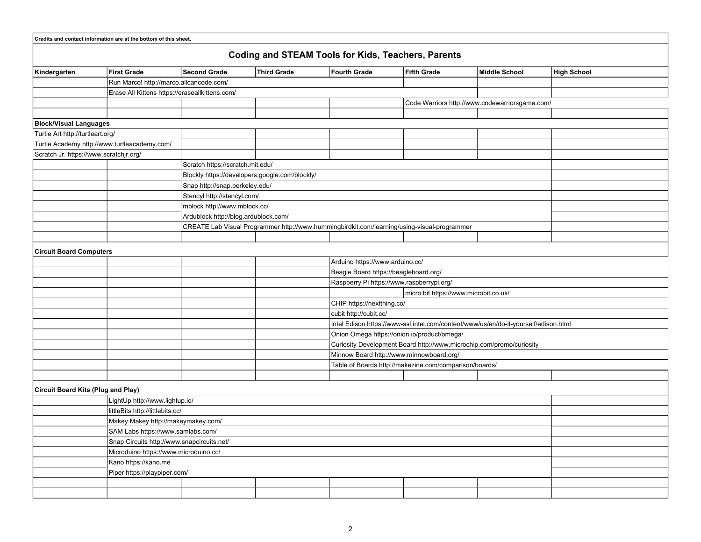|                                           | Credits and contact information are at the bottom of this sheet. |                                                                                             |                                                           |                                                                      |                                       |                                                |                    |  |  |  |  |
|-------------------------------------------|------------------------------------------------------------------|---------------------------------------------------------------------------------------------|-----------------------------------------------------------|----------------------------------------------------------------------|---------------------------------------|------------------------------------------------|--------------------|--|--|--|--|
|                                           |                                                                  |                                                                                             | <b>Coding and STEAM Tools for Kids, Teachers, Parents</b> |                                                                      |                                       |                                                |                    |  |  |  |  |
| Kindergarten                              | First Grade                                                      | <b>Second Grade</b>                                                                         | <b>Third Grade</b>                                        | <b>Fourth Grade</b>                                                  | <b>Fifth Grade</b>                    | <b>Middle School</b>                           | <b>High School</b> |  |  |  |  |
|                                           | Run Marco! http://marco.allcancode.com/                          |                                                                                             |                                                           |                                                                      |                                       |                                                |                    |  |  |  |  |
|                                           | Erase All Kittens https://eraseallkittens.com/                   |                                                                                             |                                                           |                                                                      |                                       |                                                |                    |  |  |  |  |
|                                           |                                                                  |                                                                                             |                                                           |                                                                      |                                       | Code Warriors http://www.codewarriorsgame.com/ |                    |  |  |  |  |
|                                           |                                                                  |                                                                                             |                                                           |                                                                      |                                       |                                                |                    |  |  |  |  |
| <b>Block/Visual Languages</b>             |                                                                  |                                                                                             |                                                           |                                                                      |                                       |                                                |                    |  |  |  |  |
| Turtle Art http://turtleart.org/          |                                                                  |                                                                                             |                                                           |                                                                      |                                       |                                                |                    |  |  |  |  |
|                                           | Turtle Academy http://www.turtleacademy.com/                     |                                                                                             |                                                           |                                                                      |                                       |                                                |                    |  |  |  |  |
| Scratch Jr. https://www.scratchjr.org/    |                                                                  |                                                                                             |                                                           |                                                                      |                                       |                                                |                    |  |  |  |  |
|                                           |                                                                  | Scratch https://scratch.mit.edu/                                                            |                                                           |                                                                      |                                       |                                                |                    |  |  |  |  |
|                                           |                                                                  | Blockly https://developers.google.com/blockly/                                              |                                                           |                                                                      |                                       |                                                |                    |  |  |  |  |
|                                           |                                                                  | Snap http://snap.berkeley.edu/                                                              |                                                           |                                                                      |                                       |                                                |                    |  |  |  |  |
|                                           |                                                                  | Stencyl http://stencyl.com/                                                                 |                                                           |                                                                      |                                       |                                                |                    |  |  |  |  |
|                                           |                                                                  | mblock http://www.mblock.cc/                                                                |                                                           |                                                                      |                                       |                                                |                    |  |  |  |  |
|                                           |                                                                  | Ardublock http://blog.ardublock.com/                                                        |                                                           |                                                                      |                                       |                                                |                    |  |  |  |  |
|                                           |                                                                  | CREATE Lab Visual Programmer http://www.hummingbirdkit.com/learning/using-visual-programmer |                                                           |                                                                      |                                       |                                                |                    |  |  |  |  |
|                                           |                                                                  |                                                                                             |                                                           |                                                                      |                                       |                                                |                    |  |  |  |  |
|                                           |                                                                  |                                                                                             |                                                           |                                                                      |                                       |                                                |                    |  |  |  |  |
| <b>Circuit Board Computers</b>            |                                                                  |                                                                                             |                                                           |                                                                      |                                       |                                                |                    |  |  |  |  |
|                                           |                                                                  |                                                                                             | Arduino https://www.arduino.cc/                           |                                                                      |                                       |                                                |                    |  |  |  |  |
|                                           |                                                                  |                                                                                             |                                                           | Beagle Board https://beagleboard.org/                                |                                       |                                                |                    |  |  |  |  |
|                                           |                                                                  |                                                                                             |                                                           | Raspberry Pi https://www.raspberrypi.org/                            |                                       |                                                |                    |  |  |  |  |
|                                           |                                                                  |                                                                                             |                                                           |                                                                      | micro:bit https://www.microbit.co.uk/ |                                                |                    |  |  |  |  |
|                                           |                                                                  |                                                                                             |                                                           | CHIP https://nextthing.co/                                           |                                       |                                                |                    |  |  |  |  |
|                                           |                                                                  |                                                                                             |                                                           | cubit http://cubit.cc/                                               |                                       |                                                |                    |  |  |  |  |
|                                           |                                                                  | Intel Edison https://www-ssl.intel.com/content/www/us/en/do-it-yourself/edison.html         |                                                           |                                                                      |                                       |                                                |                    |  |  |  |  |
|                                           |                                                                  |                                                                                             | Onion Omega https://onion.io/product/omega/               |                                                                      |                                       |                                                |                    |  |  |  |  |
|                                           |                                                                  |                                                                                             |                                                           | Curiosity Development Board http://www.microchip.com/promo/curiosity |                                       |                                                |                    |  |  |  |  |
|                                           |                                                                  | Minnow Board http://www.minnowboard.org/                                                    |                                                           |                                                                      |                                       |                                                |                    |  |  |  |  |
|                                           |                                                                  |                                                                                             |                                                           | Table of Boards http://makezine.com/comparison/boards/               |                                       |                                                |                    |  |  |  |  |
|                                           |                                                                  |                                                                                             |                                                           |                                                                      |                                       |                                                |                    |  |  |  |  |
| <b>Circuit Board Kits (Plug and Play)</b> |                                                                  |                                                                                             |                                                           |                                                                      |                                       |                                                |                    |  |  |  |  |
|                                           | LightUp http://www.lightup.io/                                   |                                                                                             |                                                           |                                                                      |                                       |                                                |                    |  |  |  |  |
|                                           | littleBits http://littlebits.cc/                                 |                                                                                             |                                                           |                                                                      |                                       |                                                |                    |  |  |  |  |
|                                           | Makey Makey http://makeymakey.com/                               |                                                                                             |                                                           |                                                                      |                                       |                                                |                    |  |  |  |  |
|                                           |                                                                  |                                                                                             |                                                           |                                                                      |                                       |                                                |                    |  |  |  |  |
|                                           | SAM Labs https://www.samlabs.com/                                |                                                                                             |                                                           |                                                                      |                                       |                                                |                    |  |  |  |  |
|                                           | Snap Circuits http://www.snapcircuits.net/                       |                                                                                             |                                                           |                                                                      |                                       |                                                |                    |  |  |  |  |
|                                           | Microduino https://www.microduino.cc/                            |                                                                                             |                                                           |                                                                      |                                       |                                                |                    |  |  |  |  |
|                                           | Kano https://kano.me                                             |                                                                                             |                                                           |                                                                      |                                       |                                                |                    |  |  |  |  |
|                                           | Piper https://playpiper.com/                                     |                                                                                             |                                                           |                                                                      |                                       |                                                |                    |  |  |  |  |
|                                           |                                                                  |                                                                                             |                                                           |                                                                      |                                       |                                                |                    |  |  |  |  |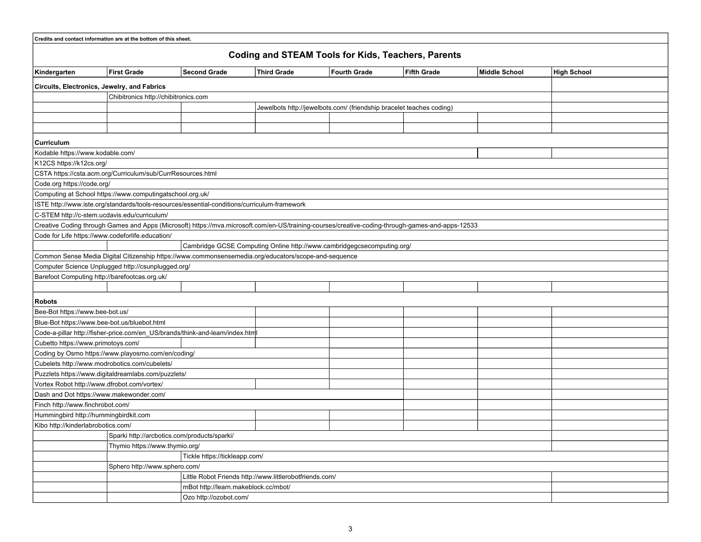|                                                           | Credits and contact information are at the bottom of this sheet.                                             |                                                                                                                                                  |                    |                     |                    |               |                    |  |  |
|-----------------------------------------------------------|--------------------------------------------------------------------------------------------------------------|--------------------------------------------------------------------------------------------------------------------------------------------------|--------------------|---------------------|--------------------|---------------|--------------------|--|--|
| <b>Coding and STEAM Tools for Kids, Teachers, Parents</b> |                                                                                                              |                                                                                                                                                  |                    |                     |                    |               |                    |  |  |
| Kindergarten                                              | <b>First Grade</b>                                                                                           | <b>Second Grade</b>                                                                                                                              | <b>Third Grade</b> | <b>Fourth Grade</b> | <b>Fifth Grade</b> | Middle School | <b>High School</b> |  |  |
| Circuits, Electronics, Jewelry, and Fabrics               |                                                                                                              |                                                                                                                                                  |                    |                     |                    |               |                    |  |  |
|                                                           |                                                                                                              |                                                                                                                                                  |                    |                     |                    |               |                    |  |  |
|                                                           | Chibitronics http://chibitronics.com<br>Jewelbots http://jewelbots.com/ (friendship bracelet teaches coding) |                                                                                                                                                  |                    |                     |                    |               |                    |  |  |
|                                                           |                                                                                                              |                                                                                                                                                  |                    |                     |                    |               |                    |  |  |
|                                                           |                                                                                                              |                                                                                                                                                  |                    |                     |                    |               |                    |  |  |
| Curriculum                                                |                                                                                                              |                                                                                                                                                  |                    |                     |                    |               |                    |  |  |
| Kodable https://www.kodable.com/                          |                                                                                                              |                                                                                                                                                  |                    |                     |                    |               |                    |  |  |
| K12CS https://k12cs.org/                                  |                                                                                                              |                                                                                                                                                  |                    |                     |                    |               |                    |  |  |
|                                                           | CSTA https://csta.acm.org/Curriculum/sub/CurrResources.html                                                  |                                                                                                                                                  |                    |                     |                    |               |                    |  |  |
| Code.org https://code.org/                                |                                                                                                              |                                                                                                                                                  |                    |                     |                    |               |                    |  |  |
|                                                           | Computing at School https://www.computingatschool.org.uk/                                                    |                                                                                                                                                  |                    |                     |                    |               |                    |  |  |
|                                                           |                                                                                                              | ISTE http://www.iste.org/standards/tools-resources/essential-conditions/curriculum-framework                                                     |                    |                     |                    |               |                    |  |  |
| C-STEM http://c-stem.ucdavis.edu/curriculum/              |                                                                                                              |                                                                                                                                                  |                    |                     |                    |               |                    |  |  |
|                                                           |                                                                                                              | Creative Coding through Games and Apps (Microsoft) https://mva.microsoft.com/en-US/training-courses/creative-coding-through-games-and-apps-12533 |                    |                     |                    |               |                    |  |  |
| Code for Life https://www.codeforlife.education/          |                                                                                                              |                                                                                                                                                  |                    |                     |                    |               |                    |  |  |
|                                                           |                                                                                                              | Cambridge GCSE Computing Online http://www.cambridgegcsecomputing.org/                                                                           |                    |                     |                    |               |                    |  |  |
|                                                           |                                                                                                              | Common Sense Media Digital Citizenship https://www.commonsensemedia.org/educators/scope-and-sequence                                             |                    |                     |                    |               |                    |  |  |
|                                                           | Computer Science Unplugged http://csunplugged.org/                                                           |                                                                                                                                                  |                    |                     |                    |               |                    |  |  |
| Barefoot Computing http://barefootcas.org.uk/             |                                                                                                              |                                                                                                                                                  |                    |                     |                    |               |                    |  |  |
|                                                           |                                                                                                              |                                                                                                                                                  |                    |                     |                    |               |                    |  |  |
| <b>Robots</b>                                             |                                                                                                              |                                                                                                                                                  |                    |                     |                    |               |                    |  |  |
| Bee-Bot https://www.bee-bot.us/                           |                                                                                                              |                                                                                                                                                  |                    |                     |                    |               |                    |  |  |
| Blue-Bot https://www.bee-bot.us/bluebot.html              |                                                                                                              |                                                                                                                                                  |                    |                     |                    |               |                    |  |  |
|                                                           |                                                                                                              | Code-a-pillar http://fisher-price.com/en_US/brands/think-and-learn/index.html                                                                    |                    |                     |                    |               |                    |  |  |
| Cubetto https://www.primotoys.com/                        |                                                                                                              |                                                                                                                                                  |                    |                     |                    |               |                    |  |  |
|                                                           | Coding by Osmo https://www.playosmo.com/en/coding/                                                           |                                                                                                                                                  |                    |                     |                    |               |                    |  |  |
| Cubelets http://www.modrobotics.com/cubelets/             |                                                                                                              |                                                                                                                                                  |                    |                     |                    |               |                    |  |  |
|                                                           | Puzzlets https://www.digitaldreamlabs.com/puzzlets/                                                          |                                                                                                                                                  |                    |                     |                    |               |                    |  |  |
| Vortex Robot http://www.dfrobot.com/vortex/               |                                                                                                              |                                                                                                                                                  |                    |                     |                    |               |                    |  |  |
| Dash and Dot https://www.makewonder.com/                  |                                                                                                              |                                                                                                                                                  |                    |                     |                    |               |                    |  |  |
| Finch http://www.finchrobot.com/                          |                                                                                                              |                                                                                                                                                  |                    |                     |                    |               |                    |  |  |
| Hummingbird http://hummingbirdkit.com                     |                                                                                                              |                                                                                                                                                  |                    |                     |                    |               |                    |  |  |
| Kibo http://kinderlabrobotics.com/                        |                                                                                                              |                                                                                                                                                  |                    |                     |                    |               |                    |  |  |
| Sparki http://arcbotics.com/products/sparki/              |                                                                                                              |                                                                                                                                                  |                    |                     |                    |               |                    |  |  |
|                                                           | Thymio https://www.thymio.org/                                                                               |                                                                                                                                                  |                    |                     |                    |               |                    |  |  |
| Tickle https://tickleapp.com/                             |                                                                                                              |                                                                                                                                                  |                    |                     |                    |               |                    |  |  |
|                                                           | Sphero http://www.sphero.com/                                                                                |                                                                                                                                                  |                    |                     |                    |               |                    |  |  |
|                                                           | Little Robot Friends http://www.littlerobotfriends.com/                                                      |                                                                                                                                                  |                    |                     |                    |               |                    |  |  |
|                                                           | mBot http://learn.makeblock.cc/mbot/                                                                         |                                                                                                                                                  |                    |                     |                    |               |                    |  |  |
|                                                           | Ozo http://ozobot.com/                                                                                       |                                                                                                                                                  |                    |                     |                    |               |                    |  |  |